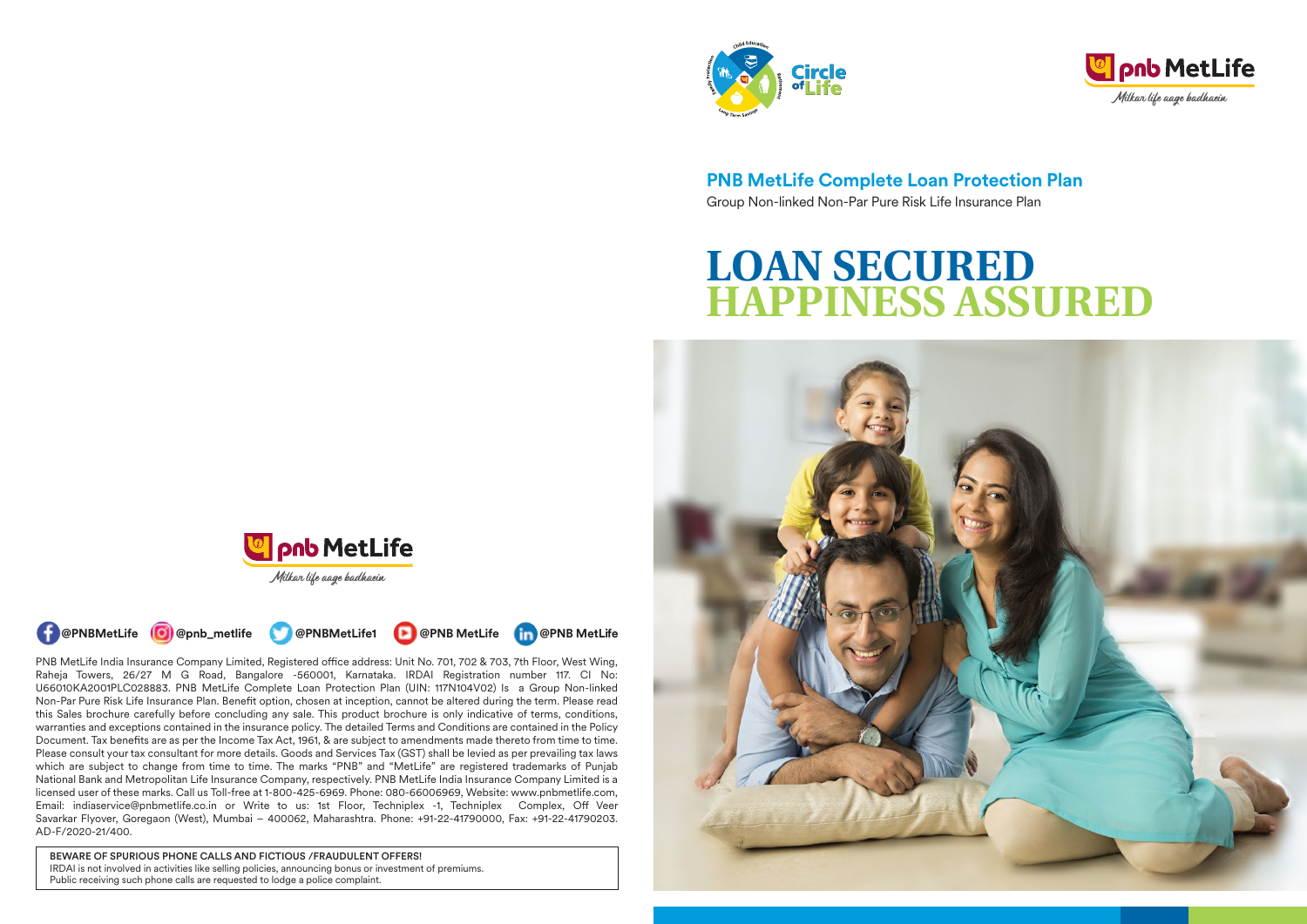



**PNB MetLife Complete Loan Protection Plan** Group Non-linked Non-Par Pure Risk Life Insurance Plan

# **LOAN SECURED HAPPINESS ASSURED**







PNB MetLife India Insurance Company Limited, Registered office address: Unit No. 701, 702 & 703, 7th Floor, West Wing, Raheja Towers, 26/27 M G Road, Bangalore -560001, Karnataka. IRDAI Registration number 117. CI No: U66010KA2001PLC028883. PNB MetLife Complete Loan Protection Plan (UIN: 117N104V02) Is a Group Non-linked Non-Par Pure Risk Life Insurance Plan. Benefit option, chosen at inception, cannot be altered during the term. Please read this Sales brochure carefully before concluding any sale. This product brochure is only indicative of terms, conditions, warranties and exceptions contained in the insurance policy. The detailed Terms and Conditions are contained in the Policy Document. Tax benefits are as per the Income Tax Act, 1961, & are subject to amendments made thereto from time to time. Please consult your tax consultant for more details. Goods and Services Tax (GST) shall be levied as per prevailing tax laws which are subject to change from time to time. The marks "PNB" and "MetLife" are registered trademarks of Punjab National Bank and Metropolitan Life Insurance Company, respectively. PNB MetLife India Insurance Company Limited is a licensed user of these marks. Call us Toll-free at 1-800-425-6969. Phone: 080-66006969, Website: www.pnbmetlife.com, Email: indiaservice@pnbmetlife.co.in or Write to us: 1st Floor, Techniplex -1, Techniplex Complex, Off Veer Savarkar Flyover, Goregaon (West), Mumbai – 400062, Maharashtra. Phone: +91-22-41790000, Fax: +91-22-41790203. AD-F/2020-21/400.

BEWARE OF SPURIOUS PHONE CALLS AND FICTIOUS /FRAUDULENT OFFERS! IRDAI is not involved in activities like selling policies, announcing bonus or investment of premiums. Public receiving such phone calls are requested to lodge a police complaint.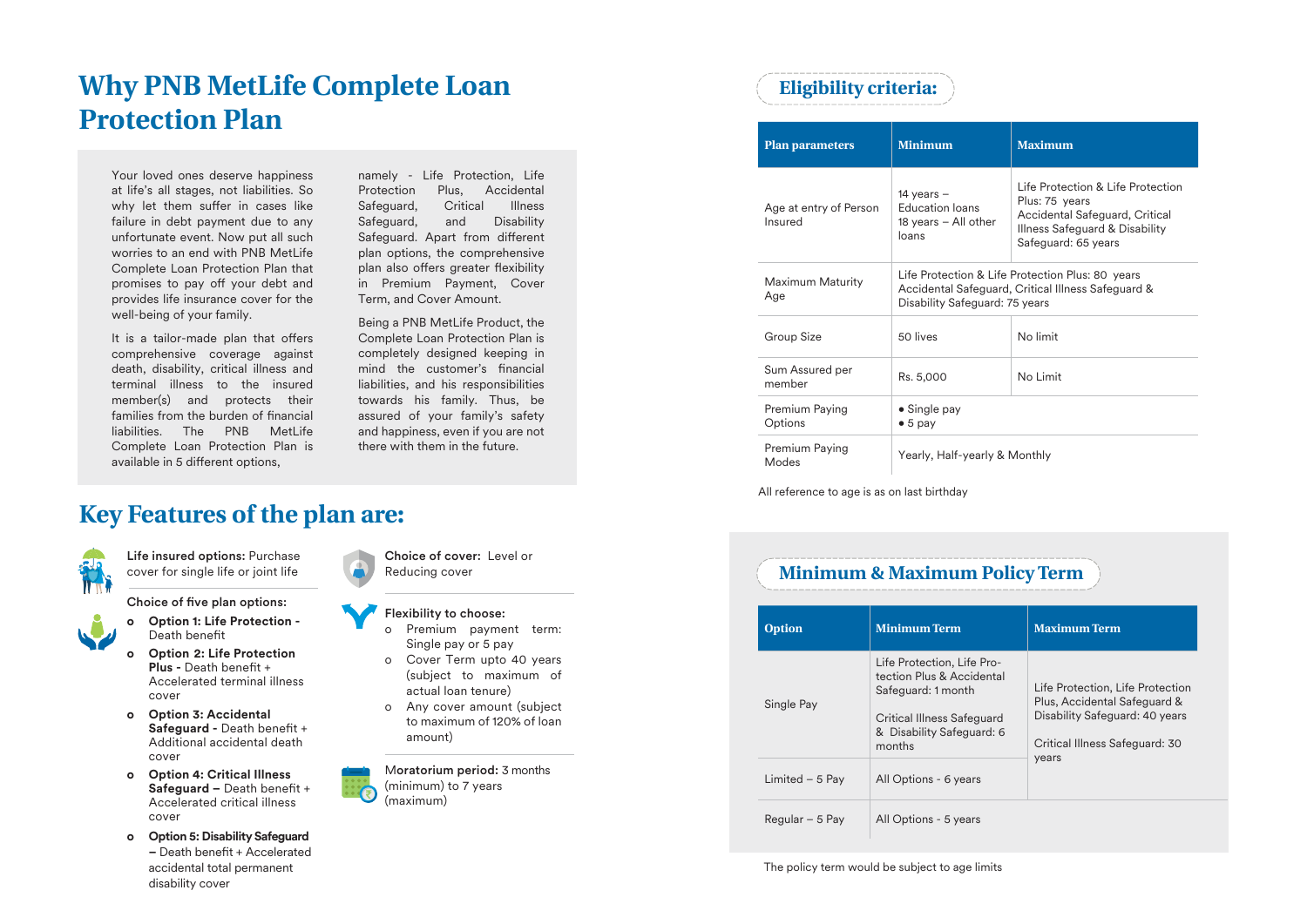# **Why PNB MetLife Complete Loan Protection Plan**

Your loved ones deserve happiness at life's all stages, not liabilities. So why let them suffer in cases like failure in debt payment due to any unfortunate event. Now put all such worries to an end with PNB MetLife Complete Loan Protection Plan that promises to pay off your debt and provides life insurance cover for the well-being of your family.

It is a tailor-made plan that offers comprehensive coverage against death, disability, critical illness and terminal illness to the insured member(s) and protects their families from the burden of financial liabilities. The PNB MetLife Complete Loan Protection Plan is available in 5 different options,

namely - Life Protection, Life Protection Plus, Accidental Safeguard, Critical Illness Safeguard, and Disability Safeguard. Apart from different plan options, the comprehensive plan also offers greater flexibility in Premium Payment, Cover Term, and Cover Amount.

Being a PNB MetLife Product, the Complete Loan Protection Plan is completely designed keeping in mind the customer's financial liabilities, and his responsibilities towards his family. Thus, be assured of your family's safety and happiness, even if you are not there with them in the future.

# **Key Features of the plan are:**



Life insured options: Purchase cover for single life or joint life

Choice of five plan options:



**o Option 1: Life Protection -**  Death benefit

- **o Option 2: Life Protection Plus - Death benefit +** Accelerated terminal illness cover
- **o Option 3: Accidental Safeguard - Death benefit +** Additional accidental death cover
- **o Option 4: Critical Illness**  Safeguard - Death benefit + Accelerated critical illness cover
- **o Option 5: DisabilitySafeguard**  $-$  Death benefit + Accelerated accidental total permanent disability cover

Choice of cover: Level or Reducing cover

#### Flexibility to choose:

- Premium payment term: Single pay or 5 pay
- o Cover Term upto 40 years (subject to maximum of actual loan tenure)
- o Any cover amount (subject to maximum of 120% of loan amount)

Moratorium period: 3 months (minimum) to 7 years (maximum)

# **Eligibility criteria:**

| <b>Plan parameters</b>            | <b>Minimum</b>                                                                                                                           | <b>Maximum</b>                                                                                                                                 |  |  |
|-----------------------------------|------------------------------------------------------------------------------------------------------------------------------------------|------------------------------------------------------------------------------------------------------------------------------------------------|--|--|
| Age at entry of Person<br>Insured | 14 years $-$<br><b>Education loans</b><br>18 years - All other<br>loans                                                                  | Life Protection & Life Protection<br>Plus: 75 years<br>Accidental Safeguard, Critical<br>Illness Safeguard & Disability<br>Safeguard: 65 years |  |  |
| Maximum Maturity<br>Age           | Life Protection & Life Protection Plus: 80 years<br>Accidental Safeguard, Critical Illness Safeguard &<br>Disability Safeguard: 75 years |                                                                                                                                                |  |  |
| Group Size                        | 50 lives                                                                                                                                 | No limit                                                                                                                                       |  |  |
| Sum Assured per<br>member         | Rs. 5,000                                                                                                                                | No I imit                                                                                                                                      |  |  |
| Premium Paying<br>Options         | $\bullet$ Single pay<br>$\bullet$ 5 pay                                                                                                  |                                                                                                                                                |  |  |
| Premium Paying<br>Modes           | Yearly, Half-yearly & Monthly                                                                                                            |                                                                                                                                                |  |  |

All reference to age is as on last birthday

# **Minimum & Maximum Policy Term**

**Option Minimum Term Maximum Term** Single Pay Life Protection, Life Protection Plus & Accidental Safeguard: 1 month Critical Illness Safeguard & Disability Safeguard: 6 months Life Protection, Life Protection Plus, Accidental Safeguard & Disability Safeguard: 40 years Critical Illness Safeguard: 30 years Limited – 5 Pay  $\vert$  All Options - 6 years  $Regular - 5 Pay$  All Options - 5 years

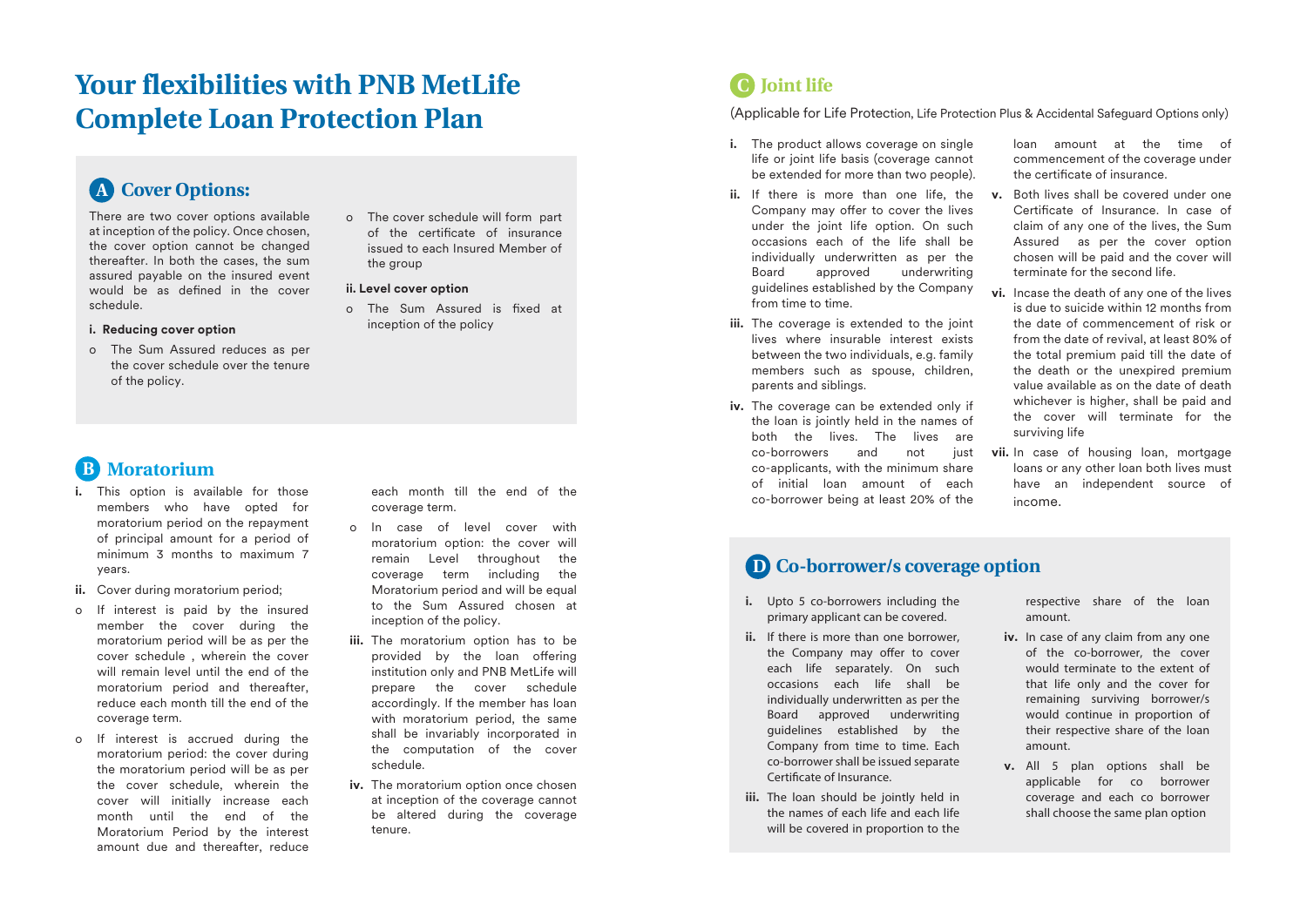# **Your flexibilities with PNB MetLife Complete Loan Protection Plan**

# **Cover Options: A**

There are two cover options available at inception of the policy. Once chosen, the cover option cannot be changed thereafter. In both the cases, the sum assured payable on the insured event would be as defined in the cover schedule.

#### **i. Reducing cover option**

o The Sum Assured reduces as per the cover schedule over the tenure of the policy.

# **B** Moratorium

- **i.** This option is available for those members who have opted for moratorium period on the repayment of principal amount for a period of minimum 3 months to maximum 7 years.
- **ii.** Cover during moratorium period;
- o If interest is paid by the insured member the cover during the moratorium period will be as per the cover schedule , wherein the cover will remain level until the end of the moratorium period and thereafter, reduce each month till the end of the coverage term.
- o If interest is accrued during the moratorium period: the cover during the moratorium period will be as per the cover schedule, wherein the cover will initially increase each month until the end of the Moratorium Period by the interest amount due and thereafter, reduce

each month till the end of the coverage term.

o The cover schedule will form part of the certificate of insurance issued to each Insured Member of

o The Sum Assured is fixed at inception of the policy

the group **ii. Level cover option** 

- o In case of level cover with moratorium option: the cover will remain Level throughout the coverage term including the Moratorium period and will be equal to the Sum Assured chosen at inception of the policy.
- **iii.** The moratorium option has to be provided by the loan offering institution only and PNB MetLife will prepare the cover schedule accordingly. If the member has loan with moratorium period, the same shall be invariably incorporated in the computation of the cover schedule.
- **iv.** The moratorium option once chosen at inception of the coverage cannot be altered during the coverage tenure.

# **Joint life C**

(Applicable for Life Protection, Life Protection Plus & Accidental Safeguard Options only)

- **i.** The product allows coverage on single life or joint life basis (coverage cannot be extended for more than two people).
- **ii.** If there is more than one life, the Company may offer to cover the lives under the joint life option. On such occasions each of the life shall be individually underwritten as per the Board approved underwriting guidelines established by the Company from time to time.
- **iii.** The coverage is extended to the joint lives where insurable interest exists between the two individuals, e.g. family members such as spouse, children, parents and siblings.
- **iv.** The coverage can be extended only if the loan is jointly held in the names of both the lives. The lives are co-borrowers and not just co-applicants, with the minimum share of initial loan amount of each co-borrower being at least 20% of the

loan amount at the time of commencement of the coverage under the certificate of insurance.

- **v.** Both lives shall be covered under one Certificate of Insurance. In case of claim of any one of the lives, the Sum Assured as per the cover option chosen will be paid and the cover will terminate for the second life.
- **vi.** Incase the death of any one of the lives is due to suicide within 12 months from the date of commencement of risk or from the date of revival, at least 80% of the total premium paid till the date of the death or the unexpired premium value available as on the date of death whichever is higher, shall be paid and the cover will terminate for the surviving life
- **vii.** In case of housing loan, mortgage loans or any other loan both lives must have an independent source of income.

# **D Co-borrower/s coverage option**

- **i.** Upto 5 co-borrowers including the primary applicant can be covered.
- **ii.** If there is more than one borrower, the Company may offer to cover each life separately. On such occasions each life shall be individually underwritten as per the Board approved underwriting guidelines established by the Company from time to time. Each co-borrower shall be issued separate Certificate of Insurance.
- **iii.** The loan should be jointly held in the names of each life and each life will be covered in proportion to the

respective share of the loan amount.

- **iv.** In case of any claim from any one of the co-borrower, the cover would terminate to the extent of that life only and the cover for remaining surviving borrower/s would continue in proportion of their respective share of the loan amount.
- **v.** All 5 plan options shall be applicable for co borrower coverage and each co borrower shall choose the same plan option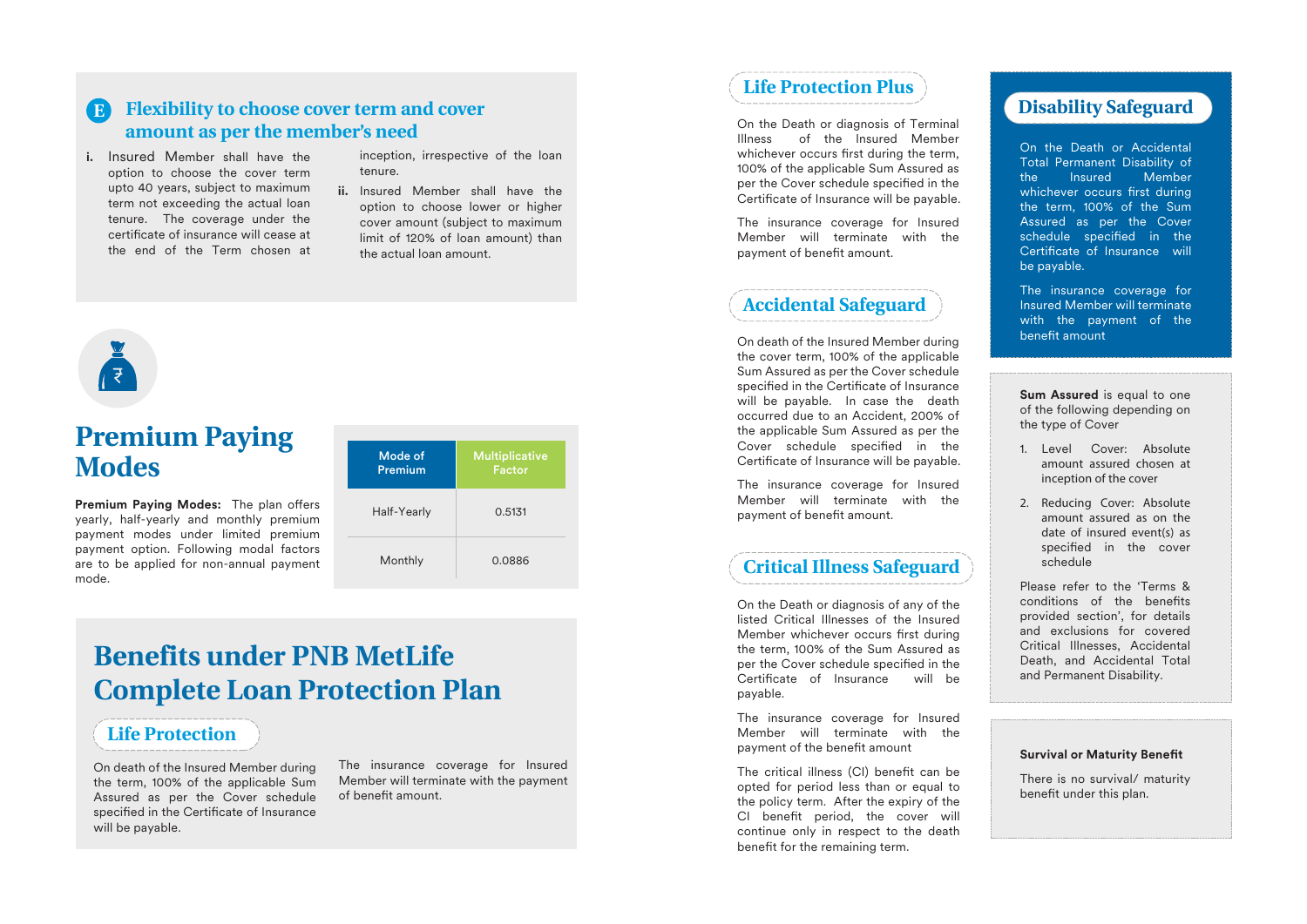#### **Flexibility to choose cover term and cover amount as per the member's need E**

**i.** Insured Member shall have the option to choose the cover term upto 40 years, subject to maximum term not exceeding the actual loan tenure. The coverage under the certificate of insurance will cease at the end of the Term chosen at inception, irrespective of the loan tenure.

**ii.** Insured Member shall have the option to choose lower or higher cover amount (subject to maximum limit of 120% of loan amount) than the actual loan amount.

# **RE**

# **Premium Paying Modes**

**Premium Paying Modes:** The plan offers yearly, half-yearly and monthly premium payment modes under limited premium payment option. Following modal factors are to be applied for non-annual payment mode.



# **Benefits under PNB MetLife Complete Loan Protection Plan**

# **Life Protection**

On death of the Insured Member during the term, 100% of the applicable Sum Assured as per the Cover schedule specified in the Certificate of Insurance will be payable.

The insurance coverage for Insured Member will terminate with the payment of benefit amount

# **Life Protection Plus**

On the Death or diagnosis of Terminal Illness of the Insured Member whichever occurs first during the term, 100% of the applicable Sum Assured as per the Cover schedule specified in the Certificate of Insurance will be payable.

The insurance coverage for Insured Member will terminate with the payment of benefit amount.

# **Accidental Safeguard**

On death of the Insured Member during the cover term, 100% of the applicable Sum Assured as per the Cover schedule specified in the Certificate of Insurance will be payable. In case the death occurred due to an Accident, 200% of the applicable Sum Assured as per the Cover schedule specified in the Certificate of Insurance will be payable.

The insurance coverage for Insured Member will terminate with the payment of benefit amount.

# **Critical Illness Safeguard**

On the Death or diagnosis of any of the listed Critical Illnesses of the Insured Member whichever occurs first during the term, 100% of the Sum Assured as per the Cover schedule specified in the Certificate of Insurance will be payable.

The insurance coverage for Insured Member will terminate with the payment of the benefit amount

The critical illness (CI) benefit can be opted for period less than or equal to the policy term. After the expiry of the CI benefit period, the cover will continue only in respect to the death benefit for the remaining term.

# **Disability Safeguard**

On the Death or Accidental Total Permanent Disability of the Insured Member whichever occurs first during the term, 100% of the Sum Assured as per the Cover schedule specified in the Certificate of Insurance will be payable.

The insurance coverage for Insured Member will terminate with the payment of the benefit amount

**Sum Assured** is equal to one of the following depending on the type of Cover

- 1. Level Cover: Absolute amount assured chosen at inception of the cover
- 2. Reducing Cover: Absolute amount assured as on the date of insured event(s) as specified in the cover schedule

Please refer to the 'Terms & conditions of the benefits provided section', for details and exclusions for covered Critical Illnesses, Accidental Death, and Accidental Total and Permanent Disability.

#### **Survival or Maturity Benefit**

There is no survival/ maturity benefit under this plan.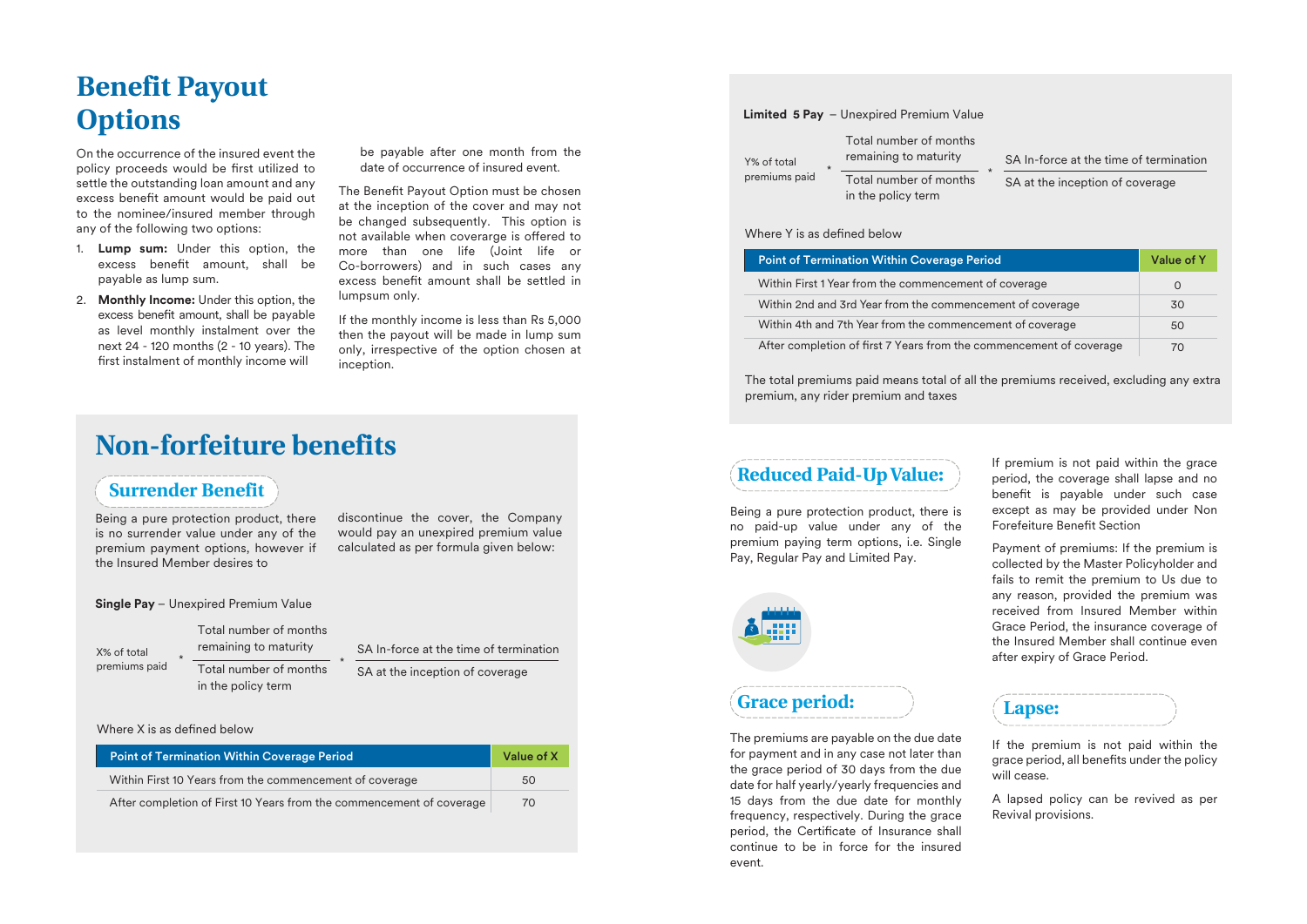# **Benefit Payout Options**

On the occurrence of the insured event the policy proceeds would be first utilized to settle the outstanding loan amount and any excess benefit amount would be paid out to the nominee/insured member through any of the following two options:

- 1. **Lump sum:** Under this option, the excess benefit amount, shall be payable as lump sum.
- 2. **Monthly Income:** Under this option, the excess benefit amount, shall be payable as level monthly instalment over the next 24 - 120 months (2 - 10 years). The first instalment of monthly income will

be payable after one month from the date of occurrence of insured event.

The Benefit Payout Option must be chosen at the inception of the cover and may not be changed subsequently. This option is not available when coverarge is offered to more than one life (Joint life or Co-borrowers) and in such cases any excess benefit amount shall be settled in lumpsum only.

If the monthly income is less than Rs 5,000 then the payout will be made in lump sum only, irrespective of the option chosen at inception.

# **Non-forfeiture benefits**

in the policy term

### **Surrender Benefit**

Being a pure protection product, there is no surrender value under any of the premium payment options, however if the Insured Member desires to

discontinue the cover, the Company would pay an unexpired premium value calculated as per formula given below:

**Single Pay** – Unexpired Premium Value

| X% of total   |
|---------------|
| premiums paid |

Total number of months remaining to maturity \* Total number of months \* SA In-force at the time of termination SA at the inception of coverage

#### Where  $X$  is as defined below

| <b>Point of Termination Within Coverage Period</b>                   | Value of X |
|----------------------------------------------------------------------|------------|
| Within First 10 Years from the commencement of coverage              | 50         |
| After completion of First 10 Years from the commencement of coverage | 70         |

#### **Limited 5 Pay** – Unexpired Premium Value

| Y% of total<br>$\star$<br>premiums paid | Total number of months<br>remaining to maturity | SA In-force at the time of termination |  |
|-----------------------------------------|-------------------------------------------------|----------------------------------------|--|
|                                         | Total number of months<br>in the policy term    | SA at the inception of coverage        |  |

#### Where Y is as defined helow

| <b>Point of Termination Within Coverage Period</b>                  | Value of Y |
|---------------------------------------------------------------------|------------|
| Within First 1 Year from the commencement of coverage               | O          |
| Within 2nd and 3rd Year from the commencement of coverage           | 30         |
| Within 4th and 7th Year from the commencement of coverage           | 50         |
| After completion of first 7 Years from the commencement of coverage | 70         |

The total premiums paid means total of all the premiums received, excluding any extra premium, any rider premium and taxes

# **Reduced Paid-Up Value:**

Being a pure protection product, there is no paid-up value under any of the premium paying term options, i.e. Single Pay, Regular Pay and Limited Pay.



# **Grace period:**

The premiums are payable on the due date for payment and in any case not later than the grace period of 30 days from the due date for half yearly/yearly frequencies and 15 days from the due date for monthly frequency, respectively. During the grace period, the Certificate of Insurance shall continue to be in force for the insured event.

If premium is not paid within the grace period, the coverage shall lapse and no benefit is payable under such case except as may be provided under Non Forefeiture Benefit Section

Payment of premiums: If the premium is collected by the Master Policyholder and fails to remit the premium to Us due to any reason, provided the premium was received from Insured Member within Grace Period, the insurance coverage of the Insured Member shall continue even after expiry of Grace Period.



If the premium is not paid within the grace period, all benefits under the policy will cease.

A lapsed policy can be revived as per Revival provisions.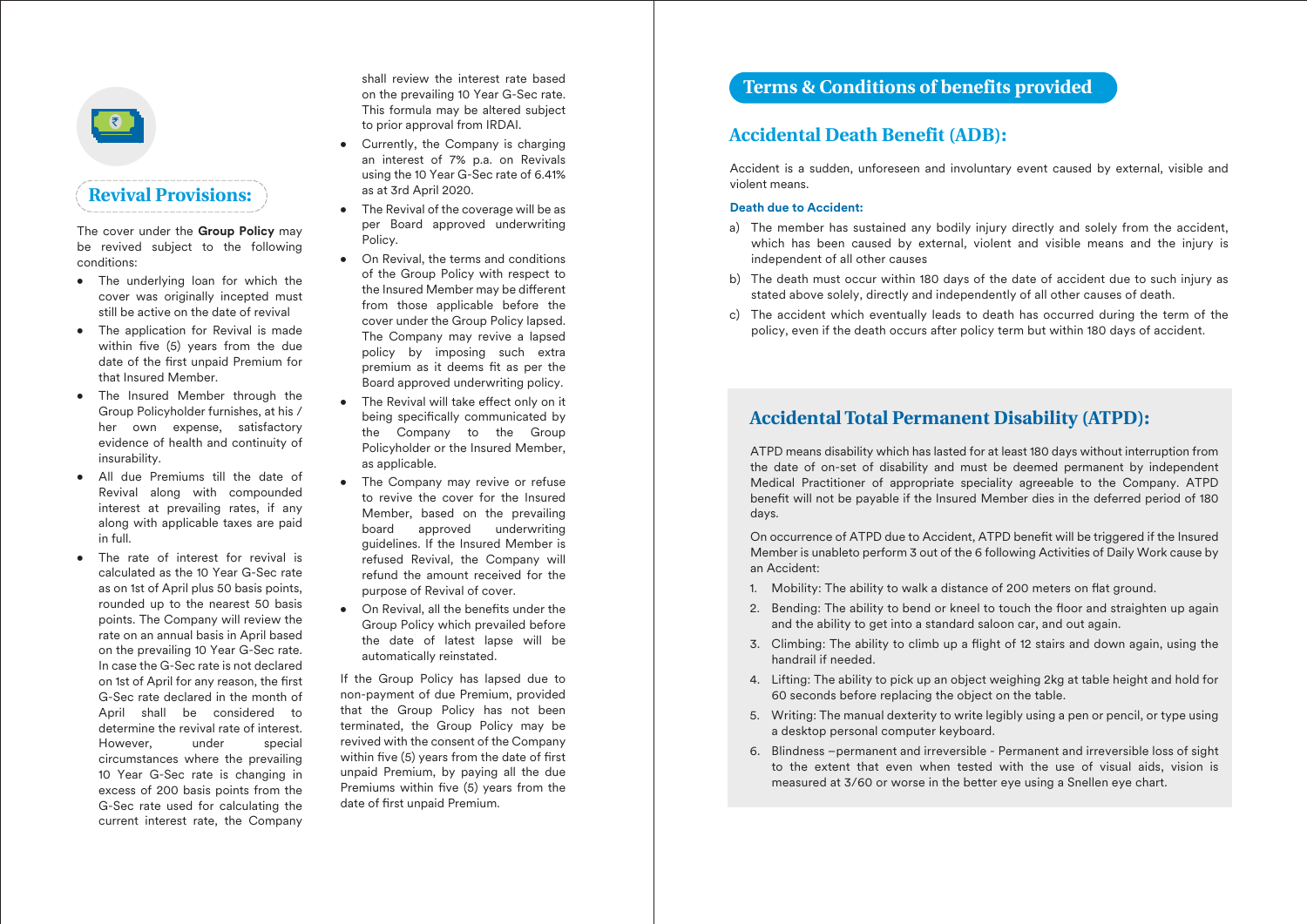

The cover under the **Group Policy** may be revived subject to the following conditions:

- The underlying loan for which the cover was originally incepted must still be active on the date of revival
- The application for Revival is made within five  $(5)$  years from the due date of the first unpaid Premium for that Insured Member.
- The Insured Member through the Group Policyholder furnishes, at his / her own expense, satisfactory evidence of health and continuity of insurability.
- All due Premiums till the date of Revival along with compounded interest at prevailing rates, if any along with applicable taxes are paid in full.
- The rate of interest for revival is calculated as the 10 Year G-Sec rate as on 1st of April plus 50 basis points, rounded up to the nearest 50 basis points. The Company will review the rate on an annual basis in April based on the prevailing 10 Year G-Sec rate. In case the G-Sec rate is not declared on 1st of April for any reason, the first G-Sec rate declared in the month of April shall be considered to determine the revival rate of interest. However, under special circumstances where the prevailing 10 Year G-Sec rate is changing in excess of 200 basis points from the G-Sec rate used for calculating the current interest rate, the Company

shall review the interest rate based on the prevailing 10 Year G-Sec rate. This formula may be altered subject to prior approval from IRDAI.

- Currently, the Company is charging an interest of 7% p.a. on Revivals using the 10 Year G-Sec rate of 6.41% as at 3rd April 2020.
- The Revival of the coverage will be as per Board approved underwriting Policy.
- On Revival, the terms and conditions of the Group Policy with respect to the Insured Member may be different from those applicable before the cover under the Group Policy lapsed. The Company may revive a lapsed policy by imposing such extra premium as it deems fit as per the Board approved underwriting policy.
- The Revival will take effect only on it being specifically communicated by the Company to the Group Policyholder or the Insured Member, as applicable.
- The Company may revive or refuse to revive the cover for the Insured Member, based on the prevailing board approved underwriting guidelines. If the Insured Member is refused Revival, the Company will refund the amount received for the purpose of Revival of cover.
- On Revival, all the benefits under the Group Policy which prevailed before the date of latest lapse will be automatically reinstated.

If the Group Policy has lapsed due to non-payment of due Premium, provided that the Group Policy has not been terminated, the Group Policy may be revived with the consent of the Company within five  $(5)$  years from the date of first unpaid Premium, by paying all the due Premiums within five (5) years from the date of first unpaid Premium.

# **Terms & Conditions of benefits provided**

### **Accidental Death Benefit (ADB):**

Accident is a sudden, unforeseen and involuntary event caused by external, visible and violent means.

#### **Death due to Accident:**

- a) The member has sustained any bodily injury directly and solely from the accident, which has been caused by external, violent and visible means and the injury is independent of all other causes
- b) The death must occur within 180 days of the date of accident due to such injury as stated above solely, directly and independently of all other causes of death.
- c) The accident which eventually leads to death has occurred during the term of the policy, even if the death occurs after policy term but within 180 days of accident.

## **Accidental Total Permanent Disability (ATPD):**

ATPD means disability which has lasted for at least 180 days without interruption from the date of on-set of disability and must be deemed permanent by independent Medical Practitioner of appropriate speciality agreeable to the Company. ATPD benefit will not be payable if the Insured Member dies in the deferred period of 180 days.

On occurrence of ATPD due to Accident, ATPD benefit will be triggered if the Insured Member is unableto perform 3 out of the 6 following Activities of Daily Work cause by an Accident:

- 1. Mobility: The ability to walk a distance of 200 meters on flat ground.
- 2. Bending: The ability to bend or kneel to touch the floor and straighten up again and the ability to get into a standard saloon car, and out again.
- 3. Climbing: The ability to climb up a flight of 12 stairs and down again, using the handrail if needed.
- 4. Lifting: The ability to pick up an object weighing 2kg at table height and hold for 60 seconds before replacing the object on the table.
- 5. Writing: The manual dexterity to write legibly using a pen or pencil, or type using a desktop personal computer keyboard.
- 6. Blindness –permanent and irreversible Permanent and irreversible loss of sight to the extent that even when tested with the use of visual aids, vision is measured at 3/60 or worse in the better eye using a Snellen eye chart.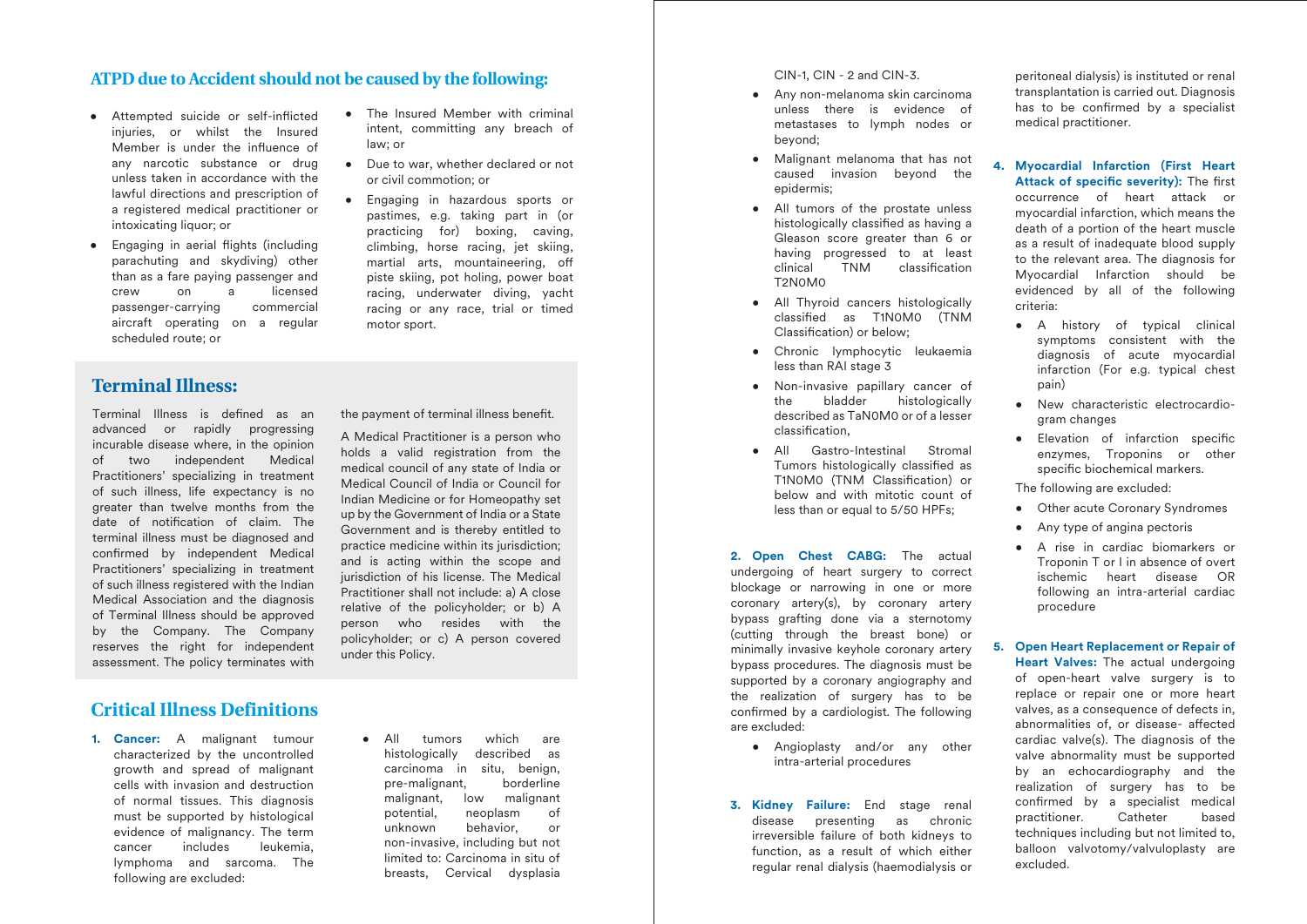### **ATPD due to Accident should not be caused by the following:**

law; or

motor sport.

- Attempted suicide or self-inflicted iniuries, or whilst the Insured Member is under the influence of any narcotic substance or drug unless taken in accordance with the lawful directions and prescription of a registered medical practitioner or intoxicating liquor; or
- Engaging in aerial flights (including parachuting and skydiving) other than as a fare paying passenger and crew on a licensed<br>
passenger-carrying commercial passenger-carrying aircraft operating on a regular scheduled route; or
- **Terminal Illness:**

Terminal Illness is defined as an advanced or rapidly progressing incurable disease where, in the opinion of two independent Medical Practitioners' specializing in treatment of such illness, life expectancy is no greater than twelve months from the date of notification of claim. The terminal illness must be diagnosed and confirmed by independent Medical Practitioners' specializing in treatment of such illness registered with the Indian Medical Association and the diagnosis of Terminal Illness should be approved by the Company. The Company reserves the right for independent assessment. The policy terminates with

the payment of terminal illness benefit.

• The Insured Member with criminal intent, committing any breach of

• Due to war, whether declared or not

• Engaging in hazardous sports or pastimes, e.g. taking part in (or practicing for) boxing, caving, climbing, horse racing, jet skiing, martial arts, mountaineering, o piste skiing, pot holing, power boat racing, underwater diving, yacht racing or any race, trial or timed

or civil commotion; or

A Medical Practitioner is a person who holds a valid registration from the medical council of any state of India or Medical Council of India or Council for Indian Medicine or for Homeopathy set up by the Government of India or a State Government and is thereby entitled to practice medicine within its jurisdiction; and is acting within the scope and jurisdiction of his license. The Medical Practitioner shall not include: a) A close relative of the policyholder; or b) A person who resides with the policyholder; or c) A person covered under this Policy.

# **Critical Illness Definitions**

**1. Cancer:** A malignant tumour characterized by the uncontrolled growth and spread of malignant cells with invasion and destruction of normal tissues. This diagnosis must be supported by histological evidence of malignancy. The term cancer includes leukemia, lymphoma and sarcoma. The following are excluded:

• All tumors which are histologically described as carcinoma in situ, benign, pre-malignant, borderline malignant, low malignant potential, neoplasm of unknown behavior, or non-invasive, including but not limited to: Carcinoma in situ of breasts, Cervical dysplasia CIN-1, CIN - 2 and CIN-3.

- Any non-melanoma skin carcinoma unless there is evidence of metastases to lymph nodes or beyond;
- Malignant melanoma that has not caused invasion beyond the epidermis;
- All tumors of the prostate unless histologically classified as having a Gleason score greater than 6 or having progressed to at least<br>clinical TNM classification classification T2N0M0
- All Thyroid cancers histologically classied as T1N0M0 (TNM Classification) or below:
- Chronic lymphocytic leukaemia less than RAI stage 3
- Non-invasive papillary cancer of the bladder histologically described as TaN0M0 or of a lesser classification.
- All Gastro-Intestinal Stromal Tumors histologically classified as T1N0M0 (TNM Classification) or below and with mitotic count of less than or equal to 5/50 HPFs;

**2. Open Chest CABG:** The actual undergoing of heart surgery to correct blockage or narrowing in one or more coronary artery(s), by coronary artery bypass grafting done via a sternotomy (cutting through the breast bone) or minimally invasive keyhole coronary artery bypass procedures. The diagnosis must be supported by a coronary angiography and the realization of surgery has to be confirmed by a cardiologist. The following are excluded:

- Angioplasty and/or any other intra-arterial procedures
- **3. Kidney Failure:** End stage renal disease presenting as chronic irreversible failure of both kidneys to function, as a result of which either regular renal dialysis (haemodialysis or

peritoneal dialysis) is instituted or renal transplantation is carried out. Diagnosis has to be confirmed by a specialist medical practitioner.

- **4. Myocardial Infarction (First Heart**  Attack of specific severity): The first occurrence of heart attack or myocardial infarction, which means the death of a portion of the heart muscle as a result of inadequate blood supply to the relevant area. The diagnosis for Myocardial Infarction should be evidenced by all of the following criteria:
	- A history of typical clinical symptoms consistent with the diagnosis of acute myocardial infarction (For e.g. typical chest pain)
	- New characteristic electrocardiogram changes
	- Elevation of infarction specific enzymes, Troponins or other specific biochemical markers.

The following are excluded:

- Other acute Coronary Syndromes
- Any type of angina pectoris
- A rise in cardiac biomarkers or Troponin T or I in absence of overt ischemic heart disease OR following an intra-arterial cardiac procedure
- **5. Open Heart Replacement or Repair of Heart Valves:** The actual undergoing of open-heart valve surgery is to replace or repair one or more heart valves, as a consequence of defects in, abnormalities of, or disease- affected cardiac valve(s). The diagnosis of the valve abnormality must be supported by an echocardiography and the realization of surgery has to be confirmed by a specialist medical practitioner. Catheter based techniques including but not limited to, balloon valvotomy/valvuloplasty are excluded.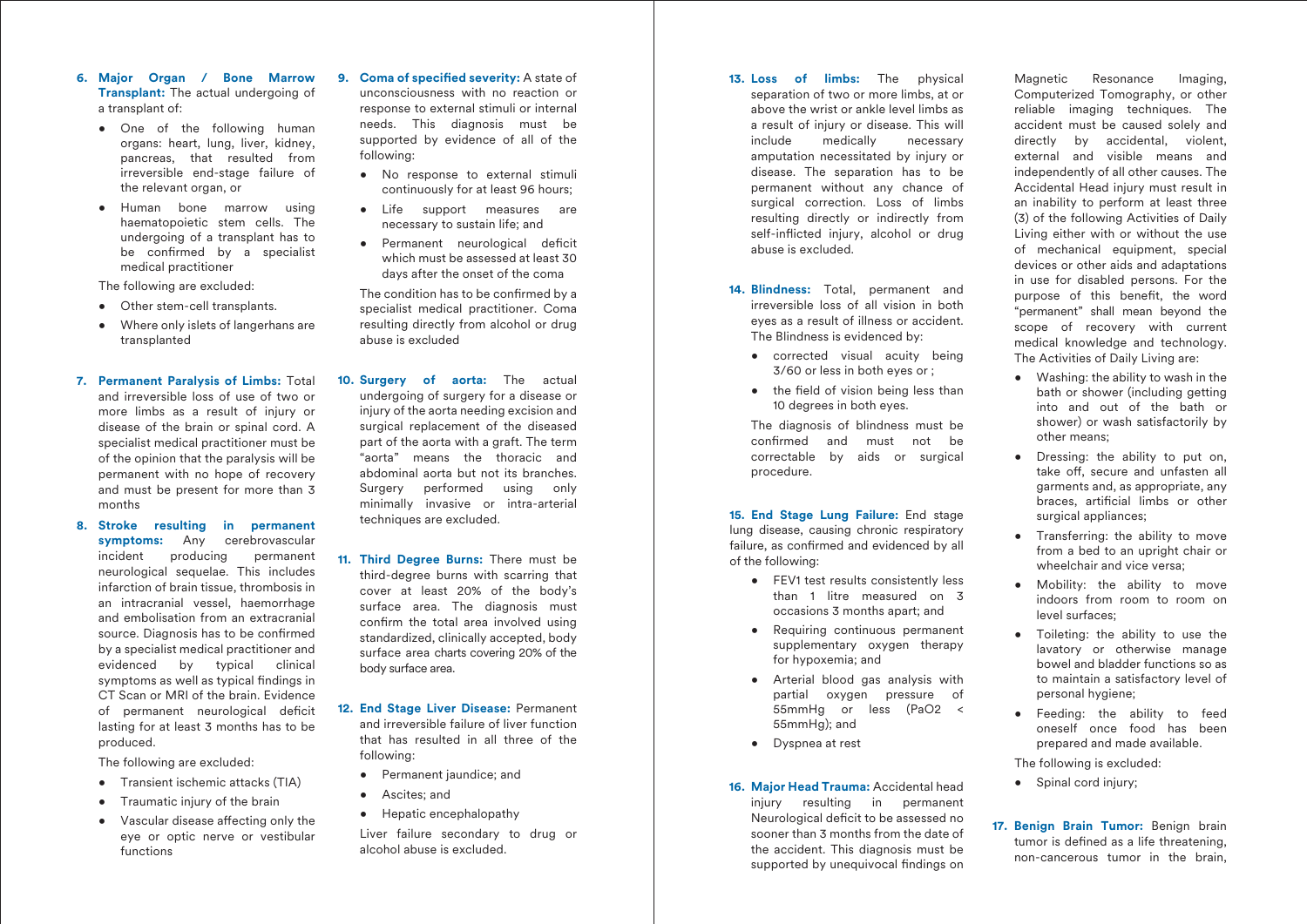- **6. Major Organ / Bone Marrow Transplant:** The actual undergoing of a transplant of:
	- One of the following human organs: heart, lung, liver, kidney, pancreas, that resulted from irreversible end-stage failure of the relevant organ, or
	- Human bone marrow using haematopoietic stem cells. The undergoing of a transplant has to be confirmed by a specialist medical practitioner

The following are excluded:

- Other stem-cell transplants.
- Where only islets of langerhans are transplanted
- **7. Permanent Paralysis of Limbs:** Total and irreversible loss of use of two or more limbs as a result of injury or disease of the brain or spinal cord. A specialist medical practitioner must be of the opinion that the paralysis will be permanent with no hope of recovery and must be present for more than 3 months
- **8. Stroke resulting in permanent symptoms:** Any cerebrovascular incident producing permanent neurological sequelae. This includes infarction of brain tissue, thrombosis in an intracranial vessel, haemorrhage and embolisation from an extracranial source. Diagnosis has to be confirmed by a specialist medical practitioner and evidenced by typical clinical symptoms as well as typical findings in CT Scan or MRI of the brain. Evidence of permanent neurological deficit lasting for at least 3 months has to be produced.

The following are excluded:

- Transient ischemic attacks (TIA)
- Traumatic injury of the brain
- $\bullet$  Vascular disease affecting only the eye or optic nerve or vestibular functions

**9. Coma of specified severity:** A state of unconsciousness with no reaction or response to external stimuli or internal needs. This diagnosis must be supported by evidence of all of the following:

- No response to external stimuli continuously for at least 96 hours;
- Life support measures are necessary to sustain life; and
- Permanent neurological deficit which must be assessed at least 30 days after the onset of the coma

The condition has to be confirmed by a specialist medical practitioner. Coma resulting directly from alcohol or drug abuse is excluded

- **10. Surgery of aorta:** The actual undergoing of surgery for a disease or injury of the aorta needing excision and surgical replacement of the diseased part of the aorta with a graft. The term "aorta" means the thoracic and abdominal aorta but not its branches. Surgery performed using only minimally invasive or intra-arterial techniques are excluded.
- **11. Third Degree Burns:** There must be third-degree burns with scarring that cover at least 20% of the body's surface area. The diagnosis must confirm the total area involved using standardized, clinically accepted, body surface area charts covering 20% of the body surface area.
- **12. End Stage Liver Disease:** Permanent and irreversible failure of liver function that has resulted in all three of the following:
	- Permanent jaundice; and
	- Ascites; and
	- Hepatic encephalopathy

 Liver failure secondary to drug or alcohol abuse is excluded.

- **13. Loss of limbs:** The physical separation of two or more limbs, at or above the wrist or ankle level limbs as a result of injury or disease. This will include medically necessary amputation necessitated by injury or disease. The separation has to be permanent without any chance of surgical correction. Loss of limbs resulting directly or indirectly from self-inflicted injury, alcohol or drug abuse is excluded.
- **14. Blindness:** Total, permanent and irreversible loss of all vision in both eyes as a result of illness or accident. The Blindness is evidenced by:
	- corrected visual acuity being 3/60 or less in both eyes or ;
	- $\bullet$  the field of vision being less than 10 degrees in both eyes.

 The diagnosis of blindness must be confirmed and must not be correctable by aids or surgical procedure.

**15. End Stage Lung Failure:** End stage lung disease, causing chronic respiratory failure, as confirmed and evidenced by all of the following:

- FEV1 test results consistently less than 1 litre measured on 3 occasions 3 months apart; and
- Requiring continuous permanent supplementary oxygen therapy for hypoxemia; and
- Arterial blood gas analysis with partial oxygen pressure of 55mmHg or less (PaO2 < 55mmHg); and
- Dyspnea at rest

#### **16. Major Head Trauma:** Accidental head injury resulting in permanent

Neurological deficit to be assessed no sooner than 3 months from the date of the accident. This diagnosis must be supported by unequivocal findings on

Magnetic Resonance Imaging, Computerized Tomography, or other reliable imaging techniques. The accident must be caused solely and directly by accidental, violent, external and visible means and independently of all other causes. The Accidental Head injury must result in an inability to perform at least three (3) of the following Activities of Daily Living either with or without the use of mechanical equipment, special devices or other aids and adaptations in use for disabled persons. For the purpose of this benefit, the word "permanent" shall mean beyond the scope of recovery with current medical knowledge and technology. The Activities of Daily Living are:

- Washing: the ability to wash in the bath or shower (including getting into and out of the bath or shower) or wash satisfactorily by other means;
- Dressing: the ability to put on, take off, secure and unfasten all garments and, as appropriate, any braces, artificial limbs or other surgical appliances;
- Transferring: the ability to move from a bed to an upright chair or wheelchair and vice versa;
- Mobility: the ability to move indoors from room to room on level surfaces;
- Toileting: the ability to use the lavatory or otherwise manage bowel and bladder functions so as to maintain a satisfactory level of personal hygiene;
- Feeding: the ability to feed oneself once food has been prepared and made available.

The following is excluded:

- Spinal cord injury:
- **17. Benign Brain Tumor:** Benign brain tumor is defined as a life threatening. non-cancerous tumor in the brain,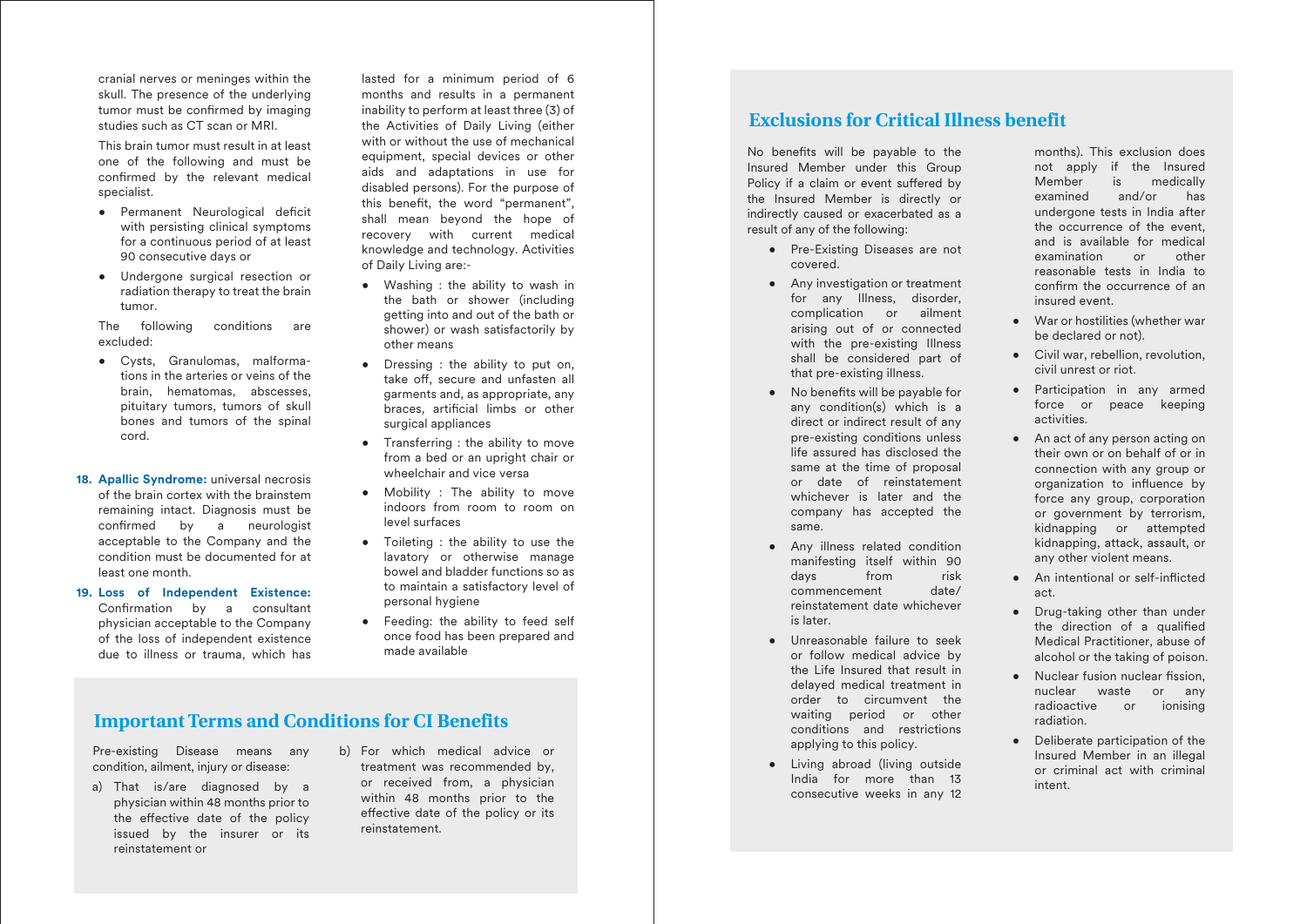cranial nerves or meninges within the skull. The presence of the underlying tumor must be confirmed by imaging studies such as CT scan or MRI.

 This brain tumor must result in at least one of the following and must be confirmed by the relevant medical specialist.

- Permanent Neurological deficit with persisting clinical symptoms for a continuous period of at least 90 consecutive days or
- Undergone surgical resection or radiation therapy to treat the brain tumor.

 The following conditions are excluded:

- Cysts, Granulomas, malformations in the arteries or veins of the brain, hematomas, abscesses, pituitary tumors, tumors of skull bones and tumors of the spinal cord.
- **18. Apallic Syndrome:** universal necrosis of the brain cortex with the brainstem remaining intact. Diagnosis must be confirmed by a neurologist acceptable to the Company and the condition must be documented for at least one month.
- **19. Loss of Independent Existence:**  Confirmation by a consultant physician acceptable to the Company of the loss of independent existence due to illness or trauma, which has

lasted for a minimum period of 6 months and results in a permanent inability to perform at least three (3) of the Activities of Daily Living (either with or without the use of mechanical equipment, special devices or other aids and adaptations in use for disabled persons). For the purpose of this benefit, the word "permanent". shall mean beyond the hope of recovery with current medical knowledge and technology. Activities of Daily Living are:-

- Washing : the ability to wash in the bath or shower (including getting into and out of the bath or shower) or wash satisfactorily by other means
- Dressing : the ability to put on, take off, secure and unfasten all garments and, as appropriate, any braces, artificial limbs or other surgical appliances
- Transferring : the ability to move from a bed or an upright chair or wheelchair and vice versa
- Mobility : The ability to move indoors from room to room on level surfaces
- Toileting : the ability to use the lavatory or otherwise manage bowel and bladder functions so as to maintain a satisfactory level of personal hygiene
- Feeding: the ability to feed self once food has been prepared and made available

# **Important Terms and Conditions for CI Benefits**

Pre-existing Disease means any condition, ailment, injury or disease:

- a) That is/are diagnosed by a physician within 48 months prior to the effective date of the policy issued by the insurer or its reinstatement or
- b) For which medical advice or treatment was recommended by, or received from, a physician within 48 months prior to the effective date of the policy or its reinstatement.

# **Exclusions for Critical Illness benefit**

No benefits will be payable to the Insured Member under this Group Policy if a claim or event suffered by the Insured Member is directly or indirectly caused or exacerbated as a result of any of the following:

- Pre-Existing Diseases are not covered.
- Any investigation or treatment for any Illness, disorder, complication or ailment arising out of or connected with the pre-existing Illness shall be considered part of that pre-existing illness.
- $\bullet$  No benefits will be payable for any condition(s) which is a direct or indirect result of any pre-existing conditions unless life assured has disclosed the same at the time of proposal or date of reinstatement whichever is later and the company has accepted the same.
- Any illness related condition manifesting itself within 90 days from risk commencement date/ reinstatement date whichever is later.
- Unreasonable failure to seek or follow medical advice by the Life Insured that result in delayed medical treatment in order to circumvent the waiting period or other conditions and restrictions applying to this policy.
- Living abroad (living outside India for more than 13 consecutive weeks in any 12

months). This exclusion does not apply if the Insured Member is medically examined and/or has undergone tests in India after the occurrence of the event, and is available for medical examination or other reasonable tests in India to confirm the occurrence of an insured event.

- War or hostilities (whether war be declared or not).
- Civil war, rebellion, revolution, civil unrest or riot.
- Participation in any armed force or peace keeping activities.
- An act of any person acting on their own or on behalf of or in connection with any group or organization to influence by force any group, corporation or government by terrorism, kidnapping or attempted kidnapping, attack, assault, or any other violent means.
- An intentional or self-inflicted act.
- Drug-taking other than under the direction of a qualified Medical Practitioner, abuse of alcohol or the taking of poison.
- Nuclear fusion nuclear fission, nuclear waste or any radioactive or ionising radiation.
- Deliberate participation of the Insured Member in an illegal or criminal act with criminal intent.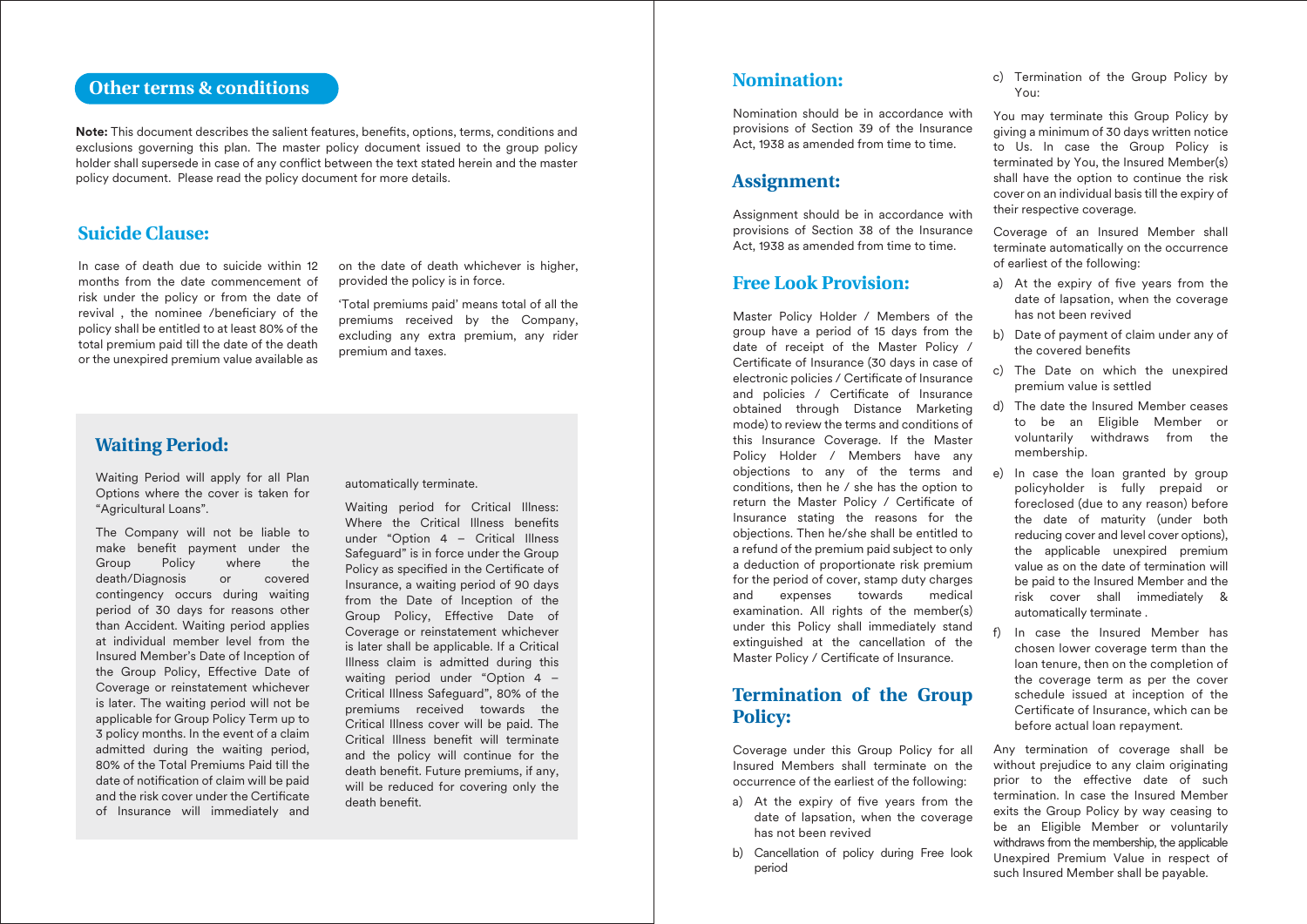# **Other terms & conditions**

**Note:** This document describes the salient features, benefits, options, terms, conditions and exclusions governing this plan. The master policy document issued to the group policy holder shall supersede in case of any conflict between the text stated herein and the master policy document. Please read the policy document for more details.

### **Suicide Clause:**

In case of death due to suicide within 12 months from the date commencement of risk under the policy or from the date of revival, the nominee /beneficiary of the policy shall be entitled to at least 80% of the total premium paid till the date of the death or the unexpired premium value available as

on the date of death whichever is higher, provided the policy is in force.

'Total premiums paid' means total of all the premiums received by the Company, excluding any extra premium, any rider premium and taxes.

### **Waiting Period:**

Waiting Period will apply for all Plan Options where the cover is taken for "Agricultural Loans".

The Company will not be liable to make benefit payment under the Group Policy where the death/Diagnosis or covered contingency occurs during waiting period of 30 days for reasons other than Accident. Waiting period applies at individual member level from the Insured Member's Date of Inception of the Group Policy, Effective Date of Coverage or reinstatement whichever is later. The waiting period will not be applicable for Group Policy Term up to 3 policy months. In the event of a claim admitted during the waiting period, 80% of the Total Premiums Paid till the date of notification of claim will be paid and the risk cover under the Certificate of Insurance will immediately and

automatically terminate.

Waiting period for Critical Illness: Where the Critical Illness benefits under "Option 4 – Critical Illness Safeguard" is in force under the Group Policy as specified in the Certificate of Insurance, a waiting period of 90 days from the Date of Inception of the Group Policy, Effective Date of Coverage or reinstatement whichever is later shall be applicable. If a Critical Illness claim is admitted during this waiting period under "Option 4 – Critical Illness Safeguard", 80% of the premiums received towards the Critical Illness cover will be paid. The Critical Illness benefit will terminate and the policy will continue for the death benefit. Future premiums, if any, will be reduced for covering only the death benefit

### **Nomination:**

Nomination should be in accordance with provisions of Section 39 of the Insurance Act, 1938 as amended from time to time.

### **Assignment:**

Assignment should be in accordance with provisions of Section 38 of the Insurance Act, 1938 as amended from time to time.

### **Free Look Provision:**

Master Policy Holder / Members of the group have a period of 15 days from the date of receipt of the Master Policy / Certificate of Insurance (30 days in case of electronic policies / Certificate of Insurance and policies / Certificate of Insurance obtained through Distance Marketing mode) to review the terms and conditions of this Insurance Coverage. If the Master Policy Holder / Members have any objections to any of the terms and conditions, then he / she has the option to return the Master Policy / Certificate of Insurance stating the reasons for the objections. Then he/she shall be entitled to a refund of the premium paid subject to only a deduction of proportionate risk premium for the period of cover, stamp duty charges and expenses towards medical examination. All rights of the member(s) under this Policy shall immediately stand extinguished at the cancellation of the Master Policy / Certificate of Insurance.

# **Termination of the Group Policy:**

Coverage under this Group Policy for all Insured Members shall terminate on the occurrence of the earliest of the following:

- a) At the expiry of five years from the date of lapsation, when the coverage has not been revived
- b) Cancellation of policy during Free look period

c) Termination of the Group Policy by You:

You may terminate this Group Policy by giving a minimum of 30 days written notice to Us. In case the Group Policy is terminated by You, the Insured Member(s) shall have the option to continue the risk cover on an individual basis till the expiry of their respective coverage.

Coverage of an Insured Member shall terminate automatically on the occurrence of earliest of the following:

- a) At the expiry of five years from the date of lapsation, when the coverage has not been revived
- b) Date of payment of claim under any of the covered benefits
- c) The Date on which the unexpired premium value is settled
- d) The date the Insured Member ceases to be an Eligible Member or voluntarily withdraws from the membership.
- e) In case the loan granted by group policyholder is fully prepaid or foreclosed (due to any reason) before the date of maturity (under both reducing cover and level cover options), the applicable unexpired premium value as on the date of termination will be paid to the Insured Member and the risk cover shall immediately & automatically terminate .
- f) In case the Insured Member has chosen lower coverage term than the loan tenure, then on the completion of the coverage term as per the cover schedule issued at inception of the Certificate of Insurance, which can be before actual loan repayment.

Any termination of coverage shall be without prejudice to any claim originating prior to the effective date of such termination. In case the Insured Member exits the Group Policy by way ceasing to be an Eligible Member or voluntarily withdraws from the membership, the applicable Unexpired Premium Value in respect of such Insured Member shall be payable.